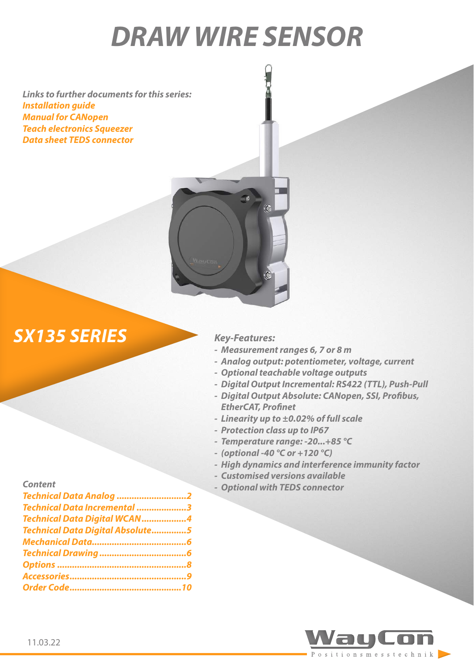# *DRAW WIRE SENSOR*

*Links to further documents for this series: [Installation guide](https://www.waycon.biz/fileadmin/draw-wire-sensors/Draw-Wire-Sensor-SX135-Installation-Guide.pdf) [Manual for CANopen](https://www.waycon.biz/fileadmin/draw-wire-sensors/CANopen-Manual.pdf) [Teach electronics Squeezer](https://www.waycon.biz/fileadmin/accessories/Teach-Electronics-Squeezer-Installation-Guide.pdf) [Data sheet TEDS connector](https://www.waycon.biz/fileadmin/accessories/TEDS-Connector.pdf)*



## *SX135 SERIES Key-Features:*

- *- Measurement ranges 6, 7 or 8 m*
- *- Analog output: potentiometer, voltage, current*
- *- Optional teachable voltage outputs*
- *- Digital Output Incremental: RS422 (TTL), Push-Pull*
- *- Digital Output Absolute: CANopen, SSI, Profibus, EtherCAT, Profinet*
- *- Linearity up to ±0.02% of full scale*
- *- Protection class up to IP67*
- *- Temperature range: -20...+85 °C*
- *- (optional -40 °C or +120 °C)*
- *- High dynamics and interference immunity factor*
- *- Customised versions available*
- 

| <b>Content</b>                   | - Optional with TEDS connector |
|----------------------------------|--------------------------------|
| Technical Data Analog 2          |                                |
| Technical Data Incremental 3     |                                |
| Technical Data Digital WCAN4     |                                |
| Technical Data Digital Absolute5 |                                |
|                                  |                                |
|                                  |                                |
|                                  |                                |
|                                  |                                |
|                                  |                                |

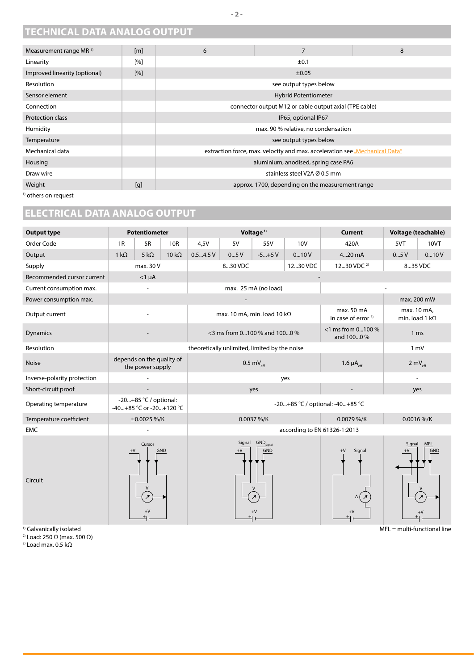## <span id="page-1-0"></span>**TECHNICAL DATA ANALOG OUTPUT**

| Measurement range MR <sup>1)</sup> | [m] | 6                   | $\overline{7}$                                                              | 8 |
|------------------------------------|-----|---------------------|-----------------------------------------------------------------------------|---|
| Linearity                          | [%] |                     | ±0.1                                                                        |   |
| Improved linearity (optional)      | [%] |                     | $\pm 0.05$                                                                  |   |
| Resolution                         |     |                     | see output types below                                                      |   |
| Sensor element                     |     |                     | <b>Hybrid Potentiometer</b>                                                 |   |
| Connection                         |     |                     | connector output M12 or cable output axial (TPE cable)                      |   |
| <b>Protection class</b>            |     | IP65, optional IP67 |                                                                             |   |
| Humidity                           |     |                     | max. 90 % relative, no condensation                                         |   |
| Temperature                        |     |                     | see output types below                                                      |   |
| Mechanical data                    |     |                     | extraction force, max. velocity and max. acceleration see "Mechanical Data" |   |
| Housing                            |     |                     | aluminium, anodised, spring case PA6                                        |   |
| Draw wire                          |     |                     | stainless steel V2A Ø 0.5 mm                                                |   |
| Weight                             | [g] |                     | approx. 1700, depending on the measurement range                            |   |
| <sup>1)</sup> others on request    |     |                     |                                                                             |   |

## **ELECTRICAL DATA ANALOG OUTPUT**

| <b>Output type</b>          |                                                  | <b>Potentiometer</b> |                                 | Voltage <sup>1)</sup>                         |                |                                                      | <b>Current</b>       | Voltage (teachable)                          |                                      |                          |
|-----------------------------|--------------------------------------------------|----------------------|---------------------------------|-----------------------------------------------|----------------|------------------------------------------------------|----------------------|----------------------------------------------|--------------------------------------|--------------------------|
| Order Code                  | 1R                                               | 5R                   | 10R                             | 4,5V                                          | 5V             | 55V                                                  | <b>10V</b>           | 420A                                         | 5VT                                  | 10VT                     |
| Output                      | $1 k\Omega$                                      | 5 k $\Omega$         | $10 k\Omega$                    | 0.54.5V                                       | 05V            | $-5+5V$                                              | 010V                 | 420 mA                                       | 05V                                  | 010V                     |
| Supply                      |                                                  | max. 30 V            |                                 |                                               | 830 VDC        |                                                      | 1230 VDC             | 1230 VDC <sup>2)</sup>                       | 835 VDC                              |                          |
| Recommended cursor current  |                                                  | $<$ 1 $\mu$ A        |                                 |                                               |                |                                                      |                      |                                              |                                      |                          |
| Current consumption max.    |                                                  |                      |                                 | max. 25 mA (no load)                          |                |                                                      |                      |                                              |                                      |                          |
| Power consumption max.      |                                                  |                      |                                 |                                               |                |                                                      |                      | max. 200 mW                                  |                                      |                          |
| Output current              |                                                  |                      |                                 | max. 10 mA, min. load 10 k $\Omega$           |                |                                                      |                      | max. 50 mA<br>in case of error <sup>3)</sup> | max. 10 mA,<br>min. load 1 $k\Omega$ |                          |
| <b>Dynamics</b>             |                                                  |                      | <3 ms from 0100 % and 1000 %    |                                               |                | <1 ms from 0100 %<br>1 <sub>ms</sub><br>and 1000 %   |                      |                                              |                                      |                          |
| Resolution                  |                                                  |                      |                                 | theoretically unlimited, limited by the noise |                |                                                      | $1 \text{ mV}$       |                                              |                                      |                          |
| <b>Noise</b>                | depends on the quality of<br>the power supply    |                      | $0.5 \text{ mV}_{\text{eff}}$   |                                               |                | 1.6 $\mu$ A <sub>eff</sub>                           | 2 m $V_{\text{eff}}$ |                                              |                                      |                          |
| Inverse-polarity protection |                                                  |                      | yes                             |                                               |                |                                                      |                      | $\overline{a}$                               |                                      |                          |
| Short-circuit proof         |                                                  |                      | yes                             |                                               |                |                                                      | yes                  |                                              |                                      |                          |
| Operating temperature       | -20+85 °C / optional:<br>-40+85 °C or -20+120 °C |                      | -20+85 °C / optional: -40+85 °C |                                               |                |                                                      |                      |                                              |                                      |                          |
| Temperature coefficient     |                                                  | ±0.0025 %/K          |                                 | 0.0037 %/K                                    |                |                                                      | 0.0079 %/K           |                                              | 0.0016 %/K                           |                          |
| <b>EMC</b>                  |                                                  |                      |                                 | according to EN 61326-1:2013                  |                |                                                      |                      |                                              |                                      |                          |
| Circuit                     | $+\mathsf{V}$                                    | Cursor               | <b>GND</b>                      |                                               | Signal<br>$+V$ | $\mathsf{GND}_\mathsf{Signal}$<br><b>GND</b><br>$+V$ |                      | $+V$<br>Signal<br>$+V$                       | Signal<br>$+V$                       | <b>MFL</b><br><b>GND</b> |

<sup>1)</sup> Galvanically isolated

2) Load: 250 Ω (max. 500 Ω)

<sup>3)</sup> Load max. 0.5 kΩ

MFL = multi-functional line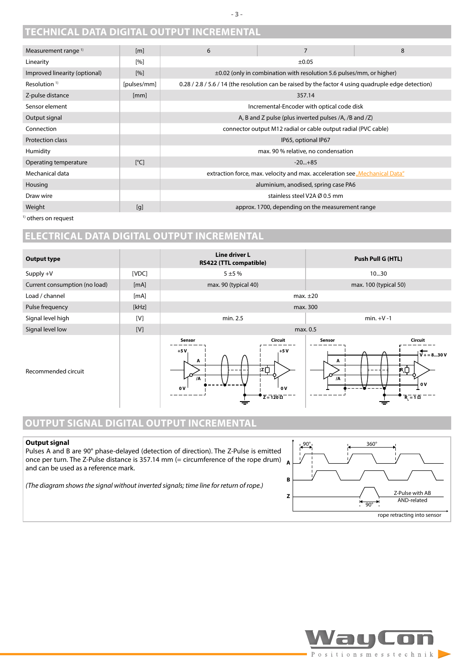## <span id="page-2-0"></span>**TECHNICAL DATA DIGITAL OUTPUT INCREMENTAL**

| Measurement range <sup>1)</sup> | [m]                | 6                                                              | 7                                                                                                   | 8 |  |  |
|---------------------------------|--------------------|----------------------------------------------------------------|-----------------------------------------------------------------------------------------------------|---|--|--|
| Linearity                       | [%]                |                                                                | $\pm 0.05$                                                                                          |   |  |  |
| Improved linearity (optional)   | [%]                |                                                                | $\pm 0.02$ (only in combination with resolution 5.6 pulses/mm, or higher)                           |   |  |  |
| Resolution $1$ <sup>1)</sup>    | [pulses/mm]        |                                                                | 0.28 / 2.8 / 5.6 / 14 (the resolution can be raised by the factor 4 using quadruple edge detection) |   |  |  |
| Z-pulse distance                | [mm]               |                                                                | 357.14                                                                                              |   |  |  |
| Sensor element                  |                    |                                                                | Incremental-Encoder with optical code disk                                                          |   |  |  |
| Output signal                   |                    |                                                                | A, B and Z pulse (plus inverted pulses /A, /B and /Z)                                               |   |  |  |
| Connection                      |                    | connector output M12 radial or cable output radial (PVC cable) |                                                                                                     |   |  |  |
| <b>Protection class</b>         |                    | IP65, optional IP67                                            |                                                                                                     |   |  |  |
| Humidity                        |                    |                                                                | max. 90 % relative, no condensation                                                                 |   |  |  |
| Operating temperature           | $\lceil^{\circ}$ C |                                                                | $-20+85$                                                                                            |   |  |  |
| Mechanical data                 |                    |                                                                | extraction force, max. velocity and max. acceleration see "Mechanical Data"                         |   |  |  |
| Housing                         |                    |                                                                | aluminium, anodised, spring case PA6                                                                |   |  |  |
| Draw wire                       |                    |                                                                | stainless steel V2A Ø 0.5 mm                                                                        |   |  |  |
| Weight                          | [g]                |                                                                | approx. 1700, depending on the measurement range                                                    |   |  |  |
|                                 |                    |                                                                |                                                                                                     |   |  |  |

<sup>1)</sup> others on request

## **ELECTRICAL DATA DIGITAL OUTPUT INCREMENTAL**



## **OUTPUT SIGNAL DIGITAL OUTPUT INCREMENTAL**

#### **Output signal**

Pulses A and B are 90° phase-delayed (detection of direction). The Z-Pulse is emitted once per turn. The Z-Pulse distance is 357.14 mm (= circumference of the rope drum) and can be used as a reference mark.

*(The diagram shows the signal without inverted signals; time line for return of rope.)*



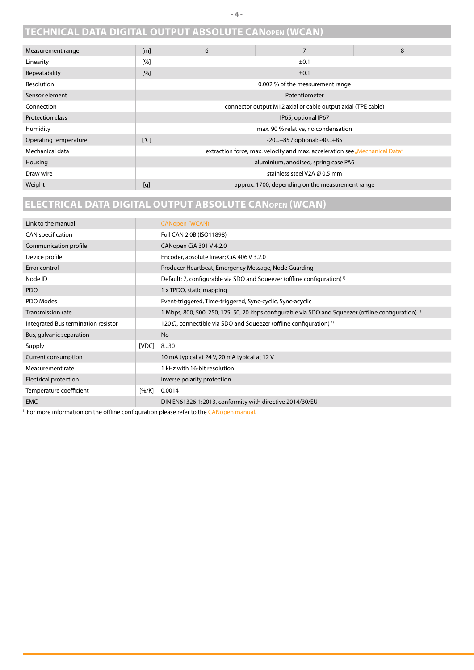## <span id="page-3-0"></span>**TECHNICAL DATA DIGITAL OUTPUT ABSOLUTE CANopen (WCAN)**

| Measurement range       | [m]                     | 6 | $\overline{7}$                                                              | 8 |
|-------------------------|-------------------------|---|-----------------------------------------------------------------------------|---|
| Linearity               | [%]                     |   | ±0.1                                                                        |   |
| Repeatability           | $[%]$                   |   | ±0.1                                                                        |   |
| Resolution              |                         |   | 0.002 % of the measurement range                                            |   |
| Sensor element          |                         |   | Potentiometer                                                               |   |
| Connection              |                         |   | connector output M12 axial or cable output axial (TPE cable)                |   |
| <b>Protection class</b> |                         |   | IP65, optional IP67                                                         |   |
| Humidity                |                         |   | max. 90 % relative, no condensation                                         |   |
| Operating temperature   | $\lceil^{\circ}C\rceil$ |   | -20+85 / optional: -40+85                                                   |   |
| Mechanical data         |                         |   | extraction force, max. velocity and max. acceleration see "Mechanical Data" |   |
| Housing                 |                         |   | aluminium, anodised, spring case PA6                                        |   |
| Draw wire               |                         |   | stainless steel V2A Ø 0.5 mm                                                |   |
| Weight                  | [g]                     |   | approx. 1700, depending on the measurement range                            |   |

## **ELECTRICAL DATA DIGITAL OUTPUT ABSOLUTE CANopen (WCAN)**

| Link to the manual                  |       | <b>CANopen (WCAN)</b>                                                                                           |
|-------------------------------------|-------|-----------------------------------------------------------------------------------------------------------------|
| CAN specification                   |       | Full CAN 2.0B (ISO11898)                                                                                        |
| Communication profile               |       | CANopen CIA 301 V 4.2.0                                                                                         |
| Device profile                      |       | Encoder, absolute linear; CiA 406 V 3.2.0                                                                       |
| Error control                       |       | Producer Heartbeat, Emergency Message, Node Guarding                                                            |
| Node ID                             |       | Default: 7, configurable via SDO and Squeezer (offline configuration) <sup>1)</sup>                             |
| PDO                                 |       | 1 x TPDO, static mapping                                                                                        |
| PDO Modes                           |       | Event-triggered, Time-triggered, Sync-cyclic, Sync-acyclic                                                      |
| <b>Transmission rate</b>            |       | 1 Mbps, 800, 500, 250, 125, 50, 20 kbps configurable via SDO and Squeezer (offline configuration) <sup>1)</sup> |
| Integrated Bus termination resistor |       | 120 $\Omega$ , connectible via SDO and Squeezer (offline configuration) <sup>1)</sup>                           |
| Bus, galvanic separation            |       | <b>No</b>                                                                                                       |
| Supply                              | [VDC] | 830                                                                                                             |
| Current consumption                 |       | 10 mA typical at 24 V, 20 mA typical at 12 V                                                                    |
| Measurement rate                    |       | 1 kHz with 16-bit resolution                                                                                    |
| Electrical protection               |       | inverse polarity protection                                                                                     |
| Temperature coefficient             | [%K]  | 0.0014                                                                                                          |
| <b>EMC</b>                          |       | DIN EN61326-1:2013, conformity with directive 2014/30/EU                                                        |

 $1)$  For more information on the offline configuration please refer to the  $C\Delta N$  open manual.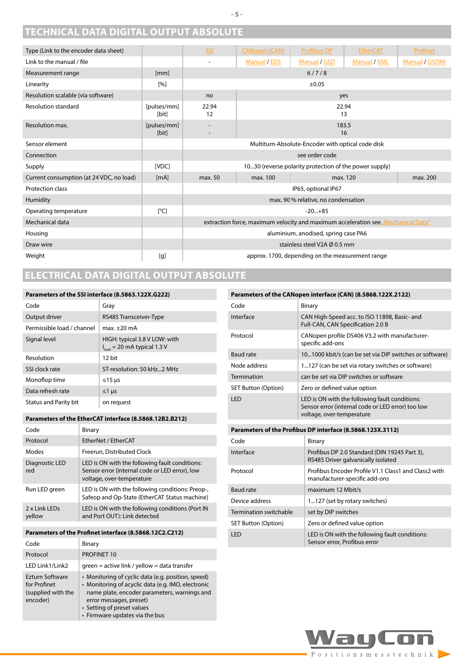## <span id="page-4-0"></span>**TECHNICAL DATA DIGITAL OUTPUT ABSOLUTE**

| Type (Link to the encoder data sheet)    |                      | SSI                                                    | <b>CANopen (CAN)</b>                                                              | Profibus-DP                                       | <b>EtherCAT</b> | Profinet       |
|------------------------------------------|----------------------|--------------------------------------------------------|-----------------------------------------------------------------------------------|---------------------------------------------------|-----------------|----------------|
| Link to the manual / file                |                      | $\overline{a}$                                         | <b>Manual / EDS</b>                                                               | Manual / GSD                                      | Manual / XML    | Manual / GSDMI |
| Measurement range                        | [mm]                 |                                                        |                                                                                   | 6/7/8                                             |                 |                |
| Linearity                                | [%]                  |                                                        | $\pm 0.05$                                                                        |                                                   |                 |                |
| Resolution scalable (via software)       |                      | no                                                     |                                                                                   |                                                   | yes             |                |
| <b>Resolution standard</b>               | [pulses/mm]<br>[bit] | 22.94<br>12                                            |                                                                                   |                                                   | 22.94<br>13     |                |
| Resolution max.                          | [pulses/mm]<br>[bit] | $\overline{\phantom{a}}$                               |                                                                                   |                                                   | 183.5<br>16     |                |
| Sensor element                           |                      |                                                        |                                                                                   | Multiturn-Absolute-Encoder with optical code disk |                 |                |
| Connection                               |                      | see order code                                         |                                                                                   |                                                   |                 |                |
| Supply                                   | [VDC]                | 1030 (reverse polarity protection of the power supply) |                                                                                   |                                                   |                 |                |
| Current consumption (at 24 VDC, no load) | [mA]                 | max. 50                                                | max. 100                                                                          |                                                   | max. 120        | max. 200       |
| Protection class                         |                      |                                                        |                                                                                   | IP65, optional IP67                               |                 |                |
| Humidity                                 |                      |                                                        |                                                                                   | max. 90 % relative, no condensation               |                 |                |
| Operating temperature                    | [°C]                 |                                                        |                                                                                   | $-20+85$                                          |                 |                |
| Mechanical data                          |                      |                                                        | extraction force, maximum velocity and maximum acceleration see "Mechanical Data" |                                                   |                 |                |
| Housing                                  |                      | aluminium, anodised, spring case PA6                   |                                                                                   |                                                   |                 |                |
| Draw wire                                |                      |                                                        |                                                                                   | stainless steel V2A Ø 0.5 mm                      |                 |                |
| Weight                                   | [g]                  |                                                        |                                                                                   | approx. 1700, depending on the measurement range  |                 |                |

## **ELECTRICAL DATA DIGITAL OUTPUT ABSOLUTE**

#### **Parameters of the SSI interface (8.5863.122X.G222)**

| Code                         | Gray                                                              |
|------------------------------|-------------------------------------------------------------------|
| Output driver                | RS485 Transceiver-Type                                            |
| Permissible load / channel   | $max.+20$ mA                                                      |
| Signal level                 | HIGH: typical 3.8 V LOW: with<br>$I_{load}$ = 20 mA typical 1.3 V |
| Resolution                   | 12 bit                                                            |
| SSI clock rate               | ST-resolution: 50 kHz2 MHz                                        |
| Monoflop time                | $≤15 \mu s$                                                       |
| Data refresh rate            | $\leq$ 1 µs                                                       |
| <b>Status and Parity bit</b> | on request                                                        |

#### Parameters of the EtherCAT interface (8.5868.12B2.B212)

| Code                    | Binary                                                                                                                        |
|-------------------------|-------------------------------------------------------------------------------------------------------------------------------|
| Protocol                | EtherNet / EtherCAT                                                                                                           |
| Modes                   | Freerun, Distributed Clock                                                                                                    |
| Diagnostic LED<br>red   | LED is ON with the following fault conditions:<br>Sensor error (internal code or LED error), low<br>voltage, over-temperature |
| Run LED green           | LED is ON with the following conditions: Preop-,<br>Safeop and Op-State (EtherCAT Status machine)                             |
| 2 x Link LEDs<br>yellow | LED is ON with the following conditions (Port IN<br>and Port OUT): Link detected                                              |

#### **Parameters of the Profinet interface (8.5868.12C2.C212)**

| Code                                                                     | Binary                                                                                                                                                                                                                                              |
|--------------------------------------------------------------------------|-----------------------------------------------------------------------------------------------------------------------------------------------------------------------------------------------------------------------------------------------------|
| Protocol                                                                 | PROFINET 10                                                                                                                                                                                                                                         |
| LED Link1/Link2                                                          | $green = active link / yellow = data transfer$                                                                                                                                                                                                      |
| <b>Ezturn Software</b><br>for Profinet<br>(supplied with the<br>encoder) | • Monitoring of cyclic data (e.g. position, speed)<br>• Monitoring of acyclic data (e.g. IMO, electronic<br>name plate, encoder parameters, warnings and<br>error messages, preset)<br>• Setting of preset values<br>• Firmware updates via the bus |

#### **Parameters of the CANopen interface (CAN) (8.5868.122X.2122)**

| Code                       | Binary                                                                                                                           |
|----------------------------|----------------------------------------------------------------------------------------------------------------------------------|
| Interface                  | CAN High-Speed acc. to ISO 11898, Basic- and<br>Full-CAN, CAN Specification 2.0 B                                                |
| Protocol                   | CANopen profile DS406 V3.2 with manufacturer-<br>specific add-ons                                                                |
| Baud rate                  | 101000 kbit/s (can be set via DIP switches or software)                                                                          |
| Node address               | 1127 (can be set via rotary switches or software)                                                                                |
| Termination                | can be set via DIP switches or software                                                                                          |
| <b>SET Button (Option)</b> | Zero or defined value option                                                                                                     |
| LED                        | LED is ON with the following fault conditions:<br>Sensor error (internal code or LED error) too low<br>voltage, over-temperature |

#### **Parameters of the Profibus DP interface (8.5868.123X.3112)**

| Code                   | Binary                                                                                |
|------------------------|---------------------------------------------------------------------------------------|
| Interface              | Profibus DP 2.0 Standard (DIN 19245 Part 3),<br>RS485 Driver galvanically isolated    |
| Protocol               | Profibus Encoder Profile V1.1 Class1 and Class2 with<br>manufacturer-specific add-ons |
| Baud rate              | maximum 12 Mbit/s                                                                     |
| Device address         | 1127 (set by rotary switches)                                                         |
| Termination switchable | set by DIP switches                                                                   |
| SET Button (Option)    | Zero or defined value option                                                          |
| I FD                   | LED is ON with the following fault conditions:<br>Sensor error, Profibus error        |

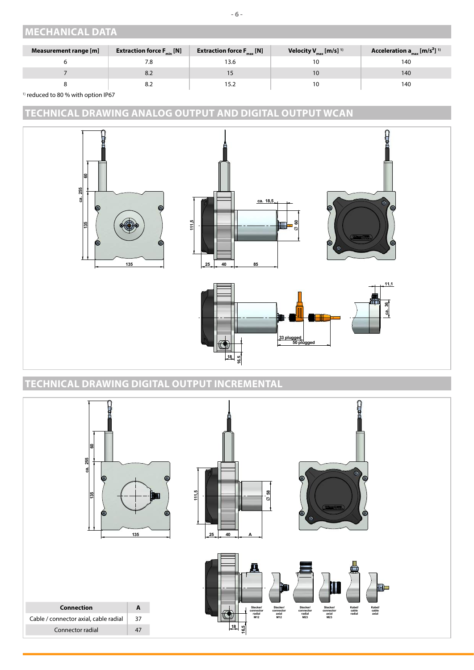## <span id="page-5-1"></span><span id="page-5-0"></span>**MECHANICAL DATA**

| Measurement range [m] | <b>Extraction force <math>F_{min}</math> [N]</b> | <b>Extraction force <math>F_{\text{max}}</math> [N]</b> | Velocity $V_{max}$ [m/s] <sup>1)</sup> | Acceleration $a_{max}$ [m/s <sup>2</sup> ] <sup>1)</sup> |
|-----------------------|--------------------------------------------------|---------------------------------------------------------|----------------------------------------|----------------------------------------------------------|
|                       | 7.8                                              | 13.6                                                    |                                        | 140                                                      |
|                       | 8.Z                                              |                                                         |                                        | 140                                                      |
|                       | 8.Z                                              | 15.2                                                    |                                        | 140                                                      |

<sup>1)</sup> reduced to 80 % with option IP67

## **TECHNICAL DRAWING ANALOG OUTPUT AND DIGITAL OUTPUT WCAN**



## **TECHNICAL DRAWING DIGITAL OUTPUT INCREMENTAL**

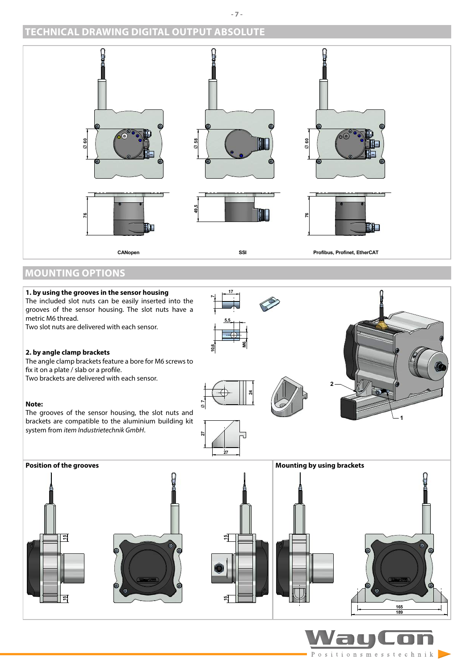## **TECHNICAL DRAWING DIGITAL OUTPUT ABSOLUTE**



## **MOUNTING OPTIONS**



Positionsmesstechnik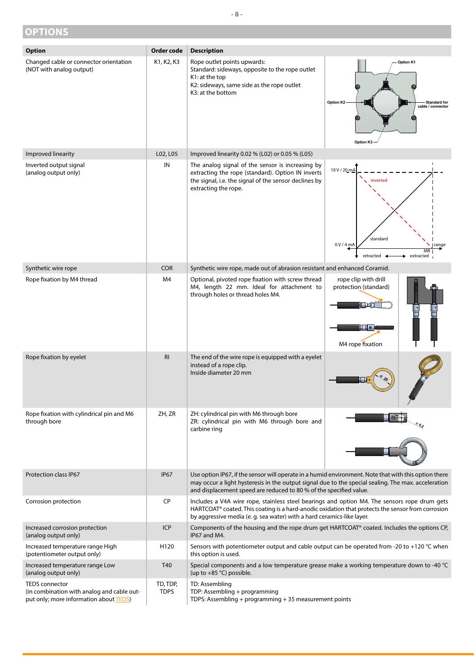### <span id="page-7-1"></span><span id="page-7-0"></span>**OPTIONS**

Inverted output signal (analog output only)

I





| Synthetic wire rope                                             | <b>COR</b>  | Synthetic wire rope, made out of abrasion resistant and enhanced Coramid.                                                                                                                                                                                                         |                                                                           |
|-----------------------------------------------------------------|-------------|-----------------------------------------------------------------------------------------------------------------------------------------------------------------------------------------------------------------------------------------------------------------------------------|---------------------------------------------------------------------------|
| Rope fixation by M4 thread                                      | M4          | Optional, pivoted rope fixation with screw thread<br>M4, length 22 mm. Ideal for attachment to<br>through holes or thread holes M4.                                                                                                                                               | rope clip with drill<br>protection (standard)<br>∏∣⊙¤<br>M4 rope fixation |
| Rope fixation by eyelet                                         | R1          | The end of the wire rope is equipped with a eyelet<br>instead of a rope clip.<br>Inside diameter 20 mm                                                                                                                                                                            |                                                                           |
| Rope fixation with cylindrical pin and M6<br>through bore       | ZH, ZR      | ZH: cylindrical pin with M6 through bore<br>ZR: cylindrical pin with M6 through bore and<br>carbine ring                                                                                                                                                                          |                                                                           |
| <b>Protection class IP67</b>                                    | <b>IP67</b> | Use option IP67, if the sensor will operate in a humid environment. Note that with this option there<br>may occur a light hysteresis in the output signal due to the special sealing. The max. acceleration<br>and displacement speed are reduced to 80 % of the specified value. |                                                                           |
| Corrosion protection                                            | <b>CP</b>   | Includes a V4A wire rope, stainless steel bearings and option M4. The sensors rope drum gets<br>HARTCOAT® coated. This coating is a hard-anodic oxidation that protects the sensor from corrosion<br>by aggressive media (e. g. sea water) with a hard ceramics-like layer.       |                                                                           |
| Increased corrosion protection<br>(analog output only)          | <b>ICP</b>  | Components of the housing and the rope drum get HARTCOAT® coated. Includes the options CP,<br>IP67 and M4.                                                                                                                                                                        |                                                                           |
| Increased temperature range High<br>(potentiometer output only) | H120        | Sensors with potentiometer output and cable output can be operated from -20 to +120 $^{\circ}$ C when<br>this option is used.                                                                                                                                                     |                                                                           |
| Increased temperature range Low<br>(analog output only)         | T40         | Special components and a low temperature grease make a working temperature down to -40 °C<br>(up to $+85$ °C) possible.                                                                                                                                                           |                                                                           |

TEDS connector (in combination with analog and cable out-

put only; more information about **TEDS**)

TDP: Assembling + programming

TD: Assembling

TD, TDP, TDPS

TDPS: Assembling + programming + 35 measurement points

K3: at the bottom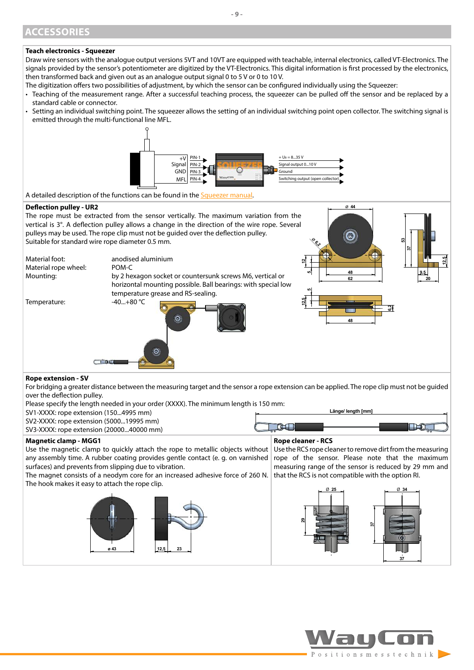### <span id="page-8-0"></span>**ACCESSORIES**

#### **Teach electronics - Squeezer**

Draw wire sensors with the analogue output versions 5VT and 10VT are equipped with teachable, internal electronics, called VT-Electronics. The signals provided by the sensor's potentiometer are digitized by the VT-Electronics. This digital information is first processed by the electronics, then transformed back and given out as an analogue output signal 0 to 5 V or 0 to 10 V.

- The digitization offers two possibilities of adjustment, by which the sensor can be configured individually using the Squeezer:
- Teaching of the measurement range. After a successful teaching process, the squeezer can be pulled off the sensor and be replaced by a standard cable or connector.
- Setting an individual switching point. The squeezer allows the setting of an individual switching point open collector. The switching signal is emitted through the multi-functional line MFL.



A detailed description of the functions can be found in the [Squeezer manual](https://www.waycon.biz/fileadmin/accessories/Teach-Electronics-Squeezer-Installation-Guide.pdf).

#### **Deflection pulley - UR2**



any assembly time. A rubber coating provides gentle contact (e. g. on varnished surfaces) and prevents from slipping due to vibration. The magnet consists of a neodym core for an increased adhesive force of 260 N. The hook makes it easy to attach the rope clip. rope of the sensor. Please note that the maximum measuring range of the sensor is reduced by 29 mm and that the RCS is not compatible with the option RI.





Ø **44**

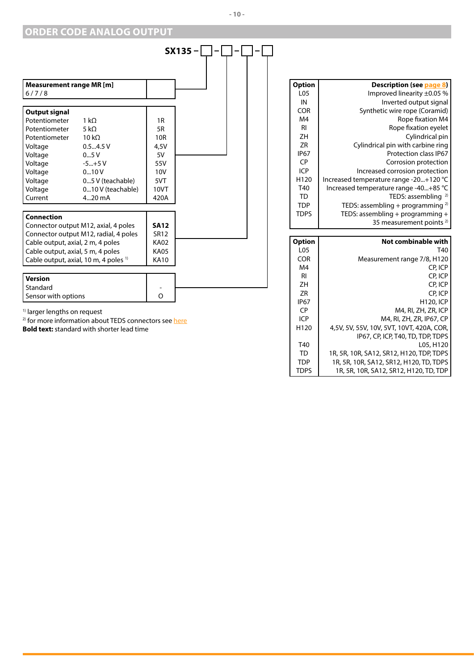## <span id="page-9-0"></span>**ORDER CODE ANALOG OUTPUT**

|                                                  |                                       |                 | $SX135-$ |  |  |
|--------------------------------------------------|---------------------------------------|-----------------|----------|--|--|
|                                                  |                                       |                 |          |  |  |
| Measurement range MR [m]<br>6/7/8                |                                       |                 |          |  |  |
|                                                  |                                       |                 |          |  |  |
| <b>Output signal</b>                             |                                       |                 |          |  |  |
| Potentiometer                                    | $1 k\Omega$                           | 1R              |          |  |  |
| Potentiometer                                    | 5 kO                                  | 5R              |          |  |  |
| Potentiometer                                    | $10 k\Omega$                          | 10 <sub>R</sub> |          |  |  |
| Voltage                                          | 0.54.5V                               | 4,5V            |          |  |  |
| Voltage                                          | 05V                                   | 5V              |          |  |  |
| Voltage                                          | $-5+5V$                               | 55V             |          |  |  |
| Voltage                                          | 010V                                  | 10V             |          |  |  |
| Voltage                                          | 05 V (teachable)                      | 5VT             |          |  |  |
| Voltage                                          | 010 V (teachable)                     | 10VT            |          |  |  |
| Current                                          | $420$ mA                              | 420A            |          |  |  |
| <b>Connection</b>                                |                                       |                 |          |  |  |
|                                                  | Connector output M12, axial, 4 poles  | <b>SA12</b>     |          |  |  |
|                                                  | Connector output M12, radial, 4 poles | <b>SR12</b>     |          |  |  |
| Cable output, axial, 2 m, 4 poles                |                                       | <b>KA02</b>     |          |  |  |
| Cable output, axial, 5 m, 4 poles                |                                       | <b>KA05</b>     |          |  |  |
| Cable output, axial, 10 m, 4 poles <sup>1)</sup> |                                       | <b>KA10</b>     |          |  |  |
| <b>Version</b>                                   |                                       |                 |          |  |  |
| Standard                                         |                                       |                 |          |  |  |
| Sensor with options                              |                                       | $\Omega$        |          |  |  |
| <sup>1)</sup> larger lengths on request          |                                       |                 |          |  |  |

| LO5<br>IN<br><b>COR</b><br>M4 | Improved linearity $\pm 0.05$ %<br>Inverted output signal<br>Synthetic wire rope (Coramid)<br>Rope fixation M4 |
|-------------------------------|----------------------------------------------------------------------------------------------------------------|
|                               |                                                                                                                |
|                               |                                                                                                                |
|                               |                                                                                                                |
|                               |                                                                                                                |
| RI                            | Rope fixation eyelet                                                                                           |
| 7H                            | Cylindrical pin                                                                                                |
| 7R                            | Cylindrical pin with carbine ring                                                                              |
| <b>IP67</b>                   | Protection class IP67                                                                                          |
| CP.                           | Corrosion protection                                                                                           |
| ICP                           | Increased corrosion protection                                                                                 |
| H <sub>120</sub>              | Increased temperature range -20+120 °C                                                                         |
| T40                           | Increased temperature range -40+85 °C                                                                          |
| TD                            | TEDS: assembling $^{2)}$                                                                                       |
| <b>TDP</b>                    | TEDS: assembling + programming $^{2)}$                                                                         |
| TDPS                          | TEDS: assembling + programming +                                                                               |
|                               | 35 measurement points <sup>2)</sup>                                                                            |

| <b>Option</b>    | Not combinable with                       |
|------------------|-------------------------------------------|
| L <sub>05</sub>  | T40                                       |
| <b>COR</b>       | Measurement range 7/8, H120               |
| M4               | CP. ICP                                   |
| RI               | CP. ICP                                   |
| ZΗ               | CP, ICP                                   |
| 7R               | CP. ICP                                   |
| <b>IP67</b>      | <b>H120, ICP</b>                          |
| CP)              | M4, RI, ZH, ZR, ICP                       |
| ICP              | M4, RI, ZH, ZR, IP67, CP                  |
| H <sub>120</sub> | 4,5V, 5V, 55V, 10V, 5VT, 10VT, 420A, COR, |
|                  | IP67, CP, ICP, T40, TD, TDP, TDPS         |
| T40              | L05, H120                                 |
| TD               | 1R, 5R, 10R, SA12, SR12, H120, TDP, TDPS  |
| <b>TDP</b>       | 1R, 5R, 10R, SA12, SR12, H120, TD, TDPS   |
| TDPS             | 1R, 5R, 10R, SA12, SR12, H120, TD, TDP    |

<sup>2)</sup> for more information about TEDS connectors see <u>here</u>

**Bold text:** standard with shorter lead time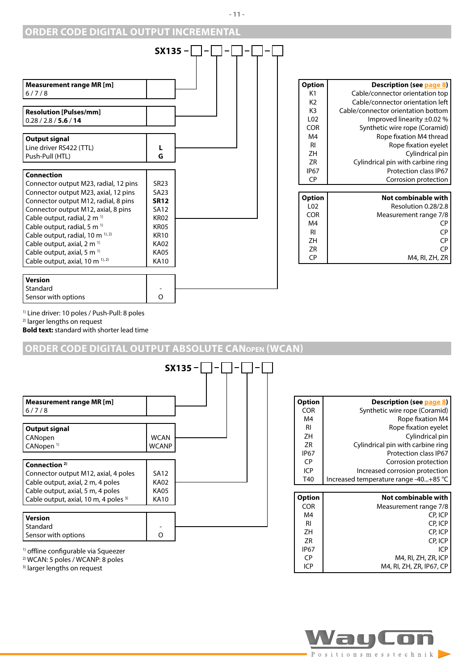#### **ORDER CODE DIGITAL OUTPUT INCREMENTAL**



| <b>Option</b>   | Description (see page 8)           |
|-----------------|------------------------------------|
| K1              | Cable/connector orientation top    |
| K <sub>2</sub>  | Cable/connector orientation left   |
| K3              | Cable/connector orientation bottom |
| L02             | Improved linearity $\pm 0.02$ %    |
| <b>COR</b>      | Synthetic wire rope (Coramid)      |
| M4              | Rope fixation M4 thread            |
| RI              | Rope fixation eyelet               |
| ZΗ              | Cylindrical pin                    |
| ΖR              | Cylindrical pin with carbine ring  |
| <b>IP67</b>     | <b>Protection class IP67</b>       |
| СP              | Corrosion protection               |
|                 |                                    |
| <b>Option</b>   | Not combinable with                |
| L <sub>02</sub> | Resolution 0.28/2.8                |
| <b>COR</b>      | Measurement range 7/8              |
| M4              | СP                                 |
| RI              | CP                                 |
| ZΗ              | СP                                 |
| ΖR              | CP                                 |
| СP              | M4, RI, ZH, ZR                     |

1) Line driver: 10 poles / Push-Pull: 8 poles

2) larger lengths on request

**Bold text:** standard with shorter lead time

#### **ORDER CODE DIGITAL OUTPUT ABSOLUTE CANopen (WCAN)**



2) WCAN: 5 poles / WCANP: 8 poles

3) larger lengths on request

| Option      | Description (see page 8)              |
|-------------|---------------------------------------|
| <b>COR</b>  | Synthetic wire rope (Coramid)         |
| M4          | Rope fixation M4                      |
| RI          | Rope fixation eyelet                  |
| ZΗ          | Cylindrical pin                       |
| ZR          | Cylindrical pin with carbine ring     |
| <b>IP67</b> | Protection class IP67                 |
| CP.         | Corrosion protection                  |
| ICP         | Increased corrosion protection        |
| T40         | Increased temperature range -40+85 °C |
|             |                                       |

| Option      | Not combinable with      |
|-------------|--------------------------|
| <b>COR</b>  | Measurement range 7/8    |
| M4          | CP, ICP                  |
| RI          | CP, ICP                  |
| 7H          | CP. ICP                  |
| ZR          | CP. ICP                  |
| <b>IP67</b> | ICP                      |
| СP          | M4, RI, ZH, ZR, ICP      |
| ICP         | M4, RI, ZH, ZR, IP67, CP |

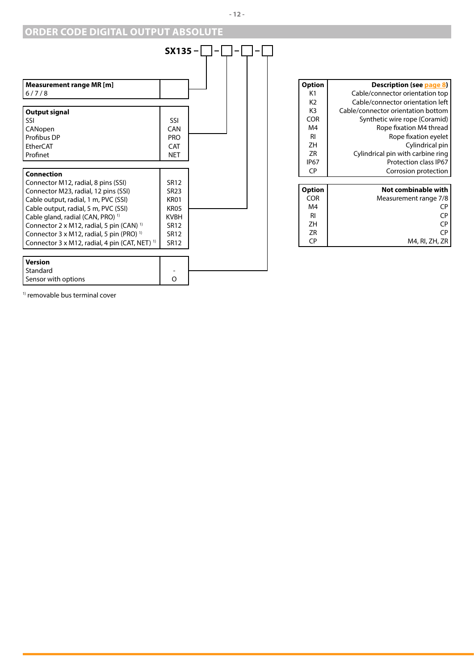## **ORDER CODE DIGITAL OUTPUT ABSOLUTE**



| Option     | Description (see page 8)           |
|------------|------------------------------------|
| K1         | Cable/connector orientation top    |
| K2         | Cable/connector orientation left   |
| K3         | Cable/connector orientation bottom |
| <b>COR</b> | Synthetic wire rope (Coramid)      |
| M4         | Rope fixation M4 thread            |
| RI         | Rope fixation eyelet               |
| ZΗ         | Cylindrical pin                    |
| ΖR         | Cylindrical pin with carbine ring  |
| IP67       | Protection class IP67              |
| СP         | Corrosion protection               |
|            |                                    |
| Option     | Not combinable with                |
| <b>COR</b> | Measurement range 7/8              |
| M4         | СP                                 |
| RI         | СP                                 |
| ZΗ         | СP                                 |
| 7R         | СP                                 |
| CР         | M4, RI, ZH, ZR                     |

1) removable bus terminal cover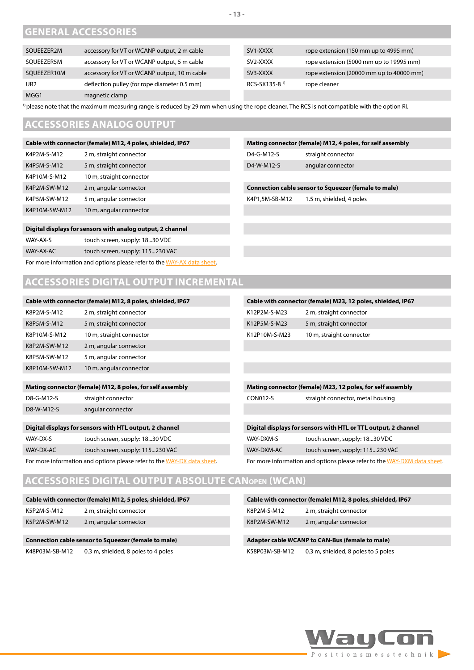## **GENERAL ACCESSORIES**

| SOUEEZER2M      | accessory for VT or WCANP output, 2 m cable  | SV1-XXXX                  | rope extension (150 mm up to 4995 mm)    |
|-----------------|----------------------------------------------|---------------------------|------------------------------------------|
| SOUEEZER5M      | accessory for VT or WCANP output, 5 m cable  | SV2-XXXX                  | rope extension (5000 mm up to 19995 mm)  |
| SOUEEZER10M     | accessory for VT or WCANP output, 10 m cable | SV3-XXXX                  | rope extension (20000 mm up to 40000 mm) |
| UR <sub>2</sub> | deflection pulley (for rope diameter 0.5 mm) | RCS-SX135-8 <sup>1)</sup> | rope cleaner                             |
| MGG1            | magnetic clamp                               |                           |                                          |

<sup>1)</sup> please note that the maximum measuring range is reduced by 29 mm when using the rope cleaner. The RCS is not compatible with the option RI.

### <span id="page-12-0"></span>**ACCESSORIES ANALOG OUTPUT**

| Cable with connector (female) M12, 4 poles, shielded, IP67 |                          |  |
|------------------------------------------------------------|--------------------------|--|
| K4P2M-S-M12                                                | 2 m, straight connector  |  |
| K4P5M-S-M12                                                | 5 m, straight connector  |  |
| K4P10M-S-M12                                               | 10 m, straight connector |  |
| K4P2M-SW-M12                                               | 2 m, angular connector   |  |
| K4P5M-SW-M12                                               | 5 m, angular connector   |  |
| K4P10M-SW-M12                                              | 10 m, angular connector  |  |
|                                                            |                          |  |

#### **Mating connector (female) M12, 4 poles, for self assembly** D4-G-M12-S straight connector

D4-W-M12-S angular connector

#### **Connection cable sensor to Squeezer (female to male)**

K4P1,5M-SB-M12 1.5 m, shielded, 4 poles

#### **Digital displays for sensors with analog output, 2 channel**

WAY-AX-AC touch screen, supply: 115...230 VAC

For more information and options please refer to the [WAY-AX data sheet](https://www.waycon.biz/fileadmin/display-controls/Display-Analog-Sensors-WAY-AX.pdf).

## **ACCESSORIES DIGITAL OUTPUT INCREMENTAL**

| Cable with connector (female) M12, 8 poles, shielded, IP67 |                                                           |                 | Cable with connector (female) M23, 12 poles, shielded, IP67    |
|------------------------------------------------------------|-----------------------------------------------------------|-----------------|----------------------------------------------------------------|
| K8P2M-S-M12                                                | 2 m, straight connector                                   | K12P2M-S-M23    | 2 m, straight connector                                        |
| K8P5M-S-M12                                                | 5 m, straight connector                                   | K12P5M-S-M23    | 5 m, straight connector                                        |
| K8P10M-S-M12                                               | 10 m, straight connector                                  | K12P10M-S-M23   | 10 m, straight connector                                       |
| K8P2M-SW-M12                                               | 2 m, angular connector                                    |                 |                                                                |
| K8P5M-SW-M12                                               | 5 m, angular connector                                    |                 |                                                                |
| K8P10M-SW-M12                                              | 10 m, angular connector                                   |                 |                                                                |
|                                                            |                                                           |                 |                                                                |
|                                                            |                                                           |                 |                                                                |
|                                                            | Mating connector (female) M12, 8 poles, for self assembly |                 | Mating connector (female) M23, 12 poles, for self assembly     |
| D8-G-M12-S                                                 | straight connector                                        | <b>CON012-S</b> | straight connector, metal housing                              |
| D8-W-M12-S                                                 | angular connector                                         |                 |                                                                |
|                                                            |                                                           |                 |                                                                |
|                                                            | Digital displays for sensors with HTL output, 2 channel   |                 | Digital displays for sensors with HTL or TTL output, 2 channel |
| WAY-DX-S                                                   | touch screen, supply: 1830 VDC                            | WAY-DXM-S       | touch screen, supply: 1830 VDC                                 |
| WAY-DX-AC                                                  | touch screen, supply: 115230 VAC                          | WAY-DXM-AC      | touch screen, supply: 115230 VAC                               |

## **ACCESSORIES DIGITAL OUTPUT ABSOLUTE CANopen (WCAN)**

| Cable with connector (female) M12, 5 poles, shielded, IP67 |                         |
|------------------------------------------------------------|-------------------------|
| K5P2M-S-M12                                                | 2 m, straight connector |
| K5P2M-SW-M12                                               | 2 m, angular connector  |
|                                                            |                         |

#### **Connection cable sensor to Squeezer (female to male)**

K48P03M-SB-M12 0.3 m, shielded, 8 poles to 4 poles

| Cable with connector (female) M12, 8 poles, shielded, IP67 |                                     |
|------------------------------------------------------------|-------------------------------------|
| K8P2M-S-M12                                                | 2 m, straight connector             |
| K8P2M-SW-M12                                               | 2 m, angular connector              |
|                                                            |                                     |
| Adapter cable WCANP to CAN-Bus (female to male)            |                                     |
| K58P03M-SB-M12                                             | 0.3 m, shielded, 8 poles to 5 poles |